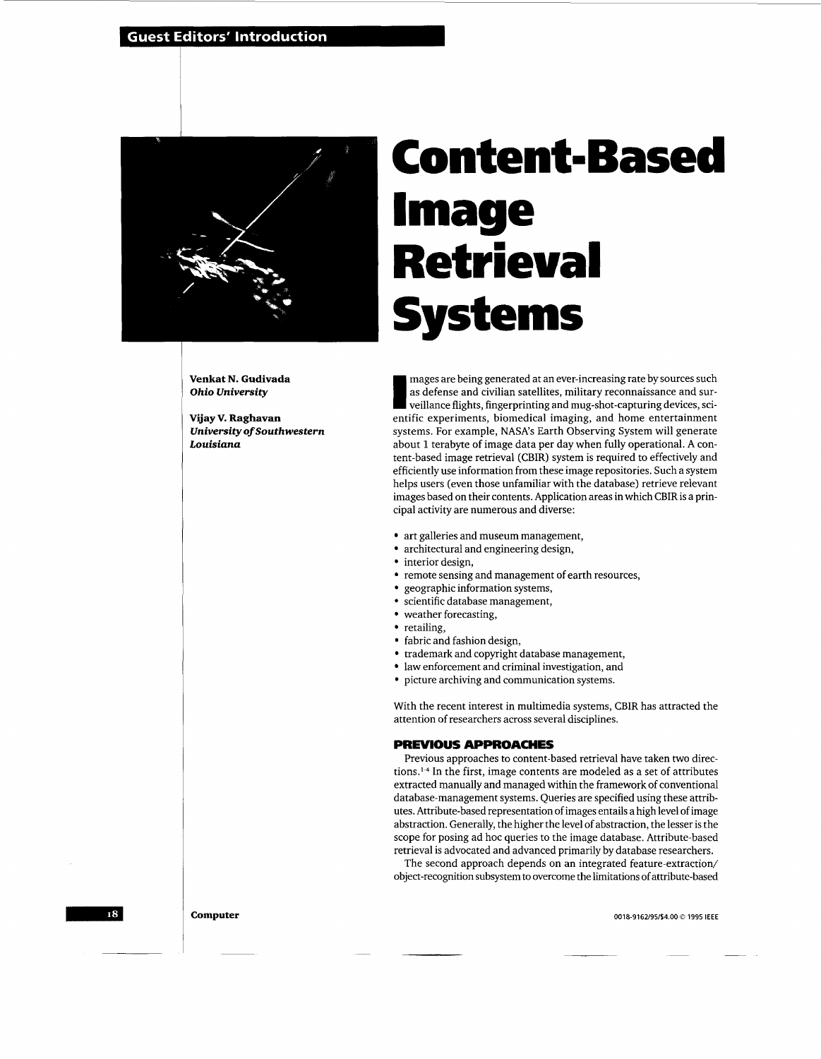# **Guest Editors' Introduction**



# **Content-Based Image Retrieval**

**Venkat N. Gudivada**  *Ohio University* 

**Vijay V. Raghavan**  *University* **of** *Southwestern Louisiana* 

mages are being generated at an ever-increasing rate by sources such mages are being generated at an ever-increasing rate by sources such as defense and civilian satellites, military reconnaissance and surveillance flights, fingerprinting and mug-shot-capturing devices, scientific experimen entific experiments, biomedical imaging, and home entertainment systems. For example, NASA's Earth Observing System will generate about 1 terabyte of image data per day when fully operational. A content-based image retrieval (CBIR) system is required to effectively and efficiently use information from these image repositories. Such a system helps users (even those unfamiliar with the database) retrieve relevant images based on their contents. Application areas in which CBIR is a principal activity are numerous and diverse:

- art galleries and museum management,
- architectural and engineering design,
- interior design,
- remote sensing and management of earth resources,
- geographic information systems,
- scientific database management,
- weather forecasting,
- retailing
- fabric and fashion design,
- trademark and copyright database management,
- law enforcement and criminal investigation, and
- picture archiving and communication systems.

With the recent interest in multimedia systems, CBIR has attracted the attention of researchers across several disciplines.

# **PREVIOUS APPROACHES**

Previous approaches to content-based retrieval have taken two directions. $14$  In the first, image contents are modeled as a set of attributes extracted manually and managed within the framework of conventional database-management systems. Queries are specified using these attributes. Attribute-based representation of images entails a high level of image abstraction. Generally, the higher the level of abstraction, the lesser is the scope for posing ad hoc queries to the image database. Attribute-based retrieval is advocated and advanced primarily by database researchers.

The second approach depends on an integrated feature-extraction/ object-recognition subsystem to overcome the limitations of attribute-based

**0018-9162/95/\$4.00** *0* **1995 IEEE** 

18

**Computer**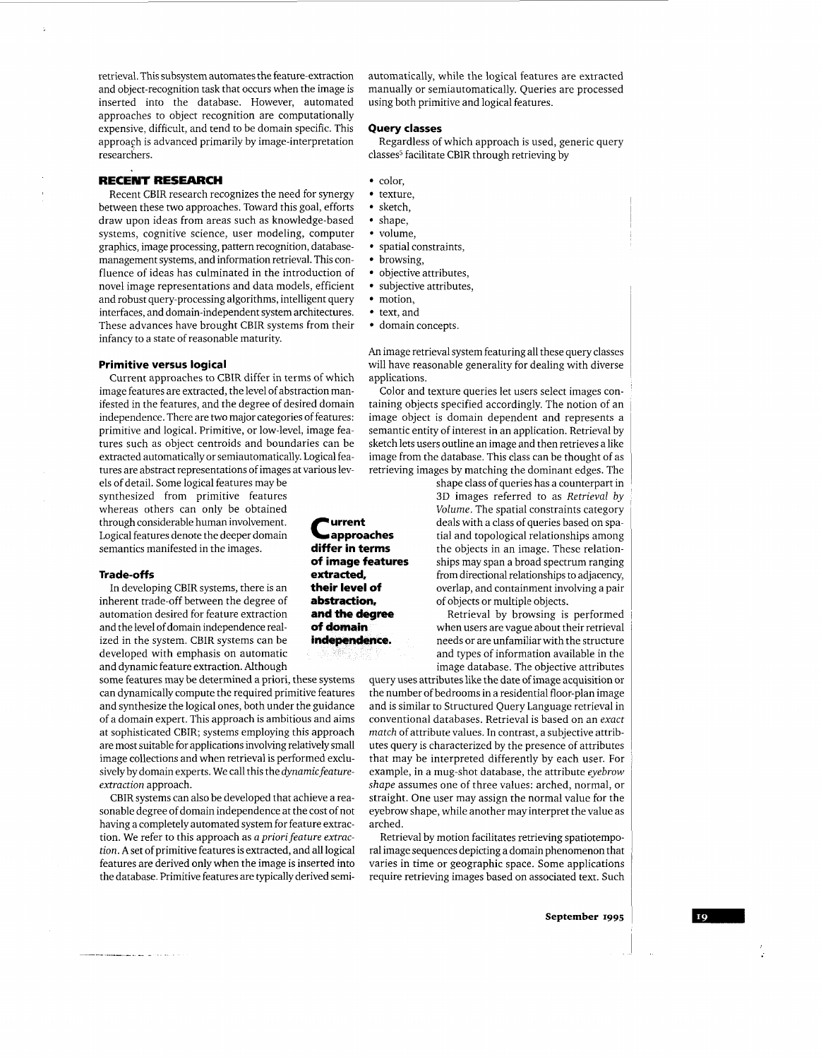retrieval. This subsystem automates the feature-extraction and object-recognition task that occurs when the image is inserted into the database. However, automated approaches to object recognition are computationally expensive, difficult, and tend to be domain specific. This approach is advanced primarily by image-interpretation researchers.

# **RECENT RESEARCH**

Recent CBIR research recognizes the need for synergy between these two approaches. Toward this goal, efforts draw upon ideas from areas such as knowledge-based systems, cognitive science, user modeling, computer graphics, image processing, pattern recognition, databasemanagement systems, and information retrieval. This confluence of ideas has culminated in the introduction of novel image representations and data models, efficient and robust query-processing algorithms, intelligent query interfaces, and domain-independent system architectures. These advances have brought CBIR systems from their infancy to a state of reasonable maturity.

# **Primitive versus logical**

Current approaches to CBIR differ in terms of which image features are extracted, the level of abstraction manifested in the features, and the degree of desired domain independence. There are two major categories of features: primitive and logical. Primitive, or low-level, image features such as object centroids and boundaries can be extracted automatically or semiautomatically. Logical features are abstract representations of images at various lev-

els of detail. Some logical features may be synthesized from primitive features whereas others can only be obtained through considerable human involvement. Logical features denote the deeper domain semantics manifested in the images.

# **Trade-off** *5*

In developing CBIR systems, there is an inherent trade-off between the degree of automation desired for feature extraction and the level of domain independence realized in the system. CBIR systems can be developed with emphasis on automatic and dynamic feature extraction. Although

some features may be determined a priori, these systems can dynamically compute the required primitive features and synthesize the logical ones, both under the guidance of a domain expert. This approach is ambitious and aims at sophisticated CBIR; systems employing this approach are most suitable for applications involving relatively small image collections and when retrieval is performed exclusively by domain experts. We call this the *dynamicfeatureextraction* approach.

CBIR systems can also be developed that achieve a reasonable degree of domain independence at the cost of not having a completely automated system for feature extraction. We refer to this approach as *a priori feature extraction.* **A** set of primitive features is extracted, and all logical features are derived onlywhen the image is inserted into the database. Primitive features are typically derived semiautomatically, while the logical features are extracted manually or semiautomatically. Queries are processed using both primitive and logical features.

#### **Query classes**

classes<sup>5</sup> facilitate CBIR through retrieving by Regardless of which approach is used, generic query

- color.
- texture,
- sketch.
- shape,
- volume.
- spatial constraints,
- browsing,
- objective attributes.
- subjective attributes,
- motion.
- text, and
- domain concepts.

*An* image retrieval system featuring all these query classes will have reasonable generality for dealing with diverse applications.

Color and texture queries let users select images containing objects specified accordingly. The notion of an image object is domain dependent and represents a semantic entity of interest in an application. Retrieval by sketch lets users outline an image and then retrieves a like image from the database. This class can be thought of as retrieving images by matching the dominant edges. The

> shape class of queries has a counterpart in **3D** images referred to as *Retrieval by Volume.* The spatial constraints category deals with a class of queries based on spatial and topological relationships among the objects in an image. These relationships may span a broad spectrum ranging from directional relationships to adjacency, overlap, and containment involving a pair of objects or multiple objects.

Retrieval by browsing is performed when users are vague about their retrieval needs or are unfamiliar with the structure and types of information available in the image database. The objective attributes

query uses attributes like the date of image acquisition or the number of bedrooms in a residential floor-plan image and is similar to Structured Query Language retrieval in conventional databases. Retrieval is based on an *exact match* of attribute values. In contrast, a subjective attributes query is characterized by the presence of attributes that may be interpreted differently by each user. For example, in a mug-shot database, the attribute *eyebrow shape* assumes one of three values: arched, normal, or straight. One user may assign the normal value for the eyebrow shape, while another may interpret the value as arched.

Retrieval by motion facilitates retrieving spatiotemporal image sequences depicting a domain phenomenon that varies in time or geographic space. Some applications require retrieving images based on associated text. Such

<mark>t</mark>urrent<br>• approaches **differ in terms of image features extracted, their level of abstraction. and the degree of domain**  independence.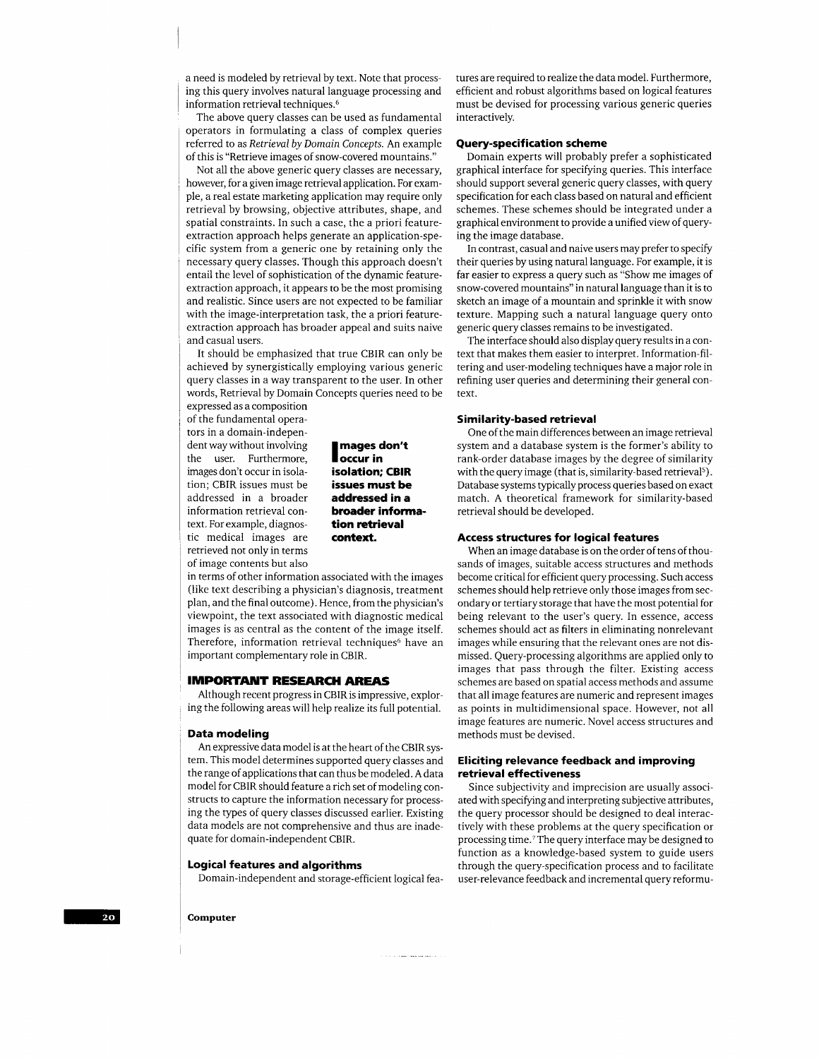a need is modeled by retrieval by text. Note that processing this query involves natural language processing and information retrieval techniques.<sup>6</sup>

The above query classes can be used as fundamental operators in formulating a class of complex queries referred to as *Retrieval* by *Domain Concepts.* An example of this is "Retrieve images of snow-covered mountains."

Not all the above generic query classes are necessary, however, for a given image retrieval application. For example, a real estate marketing application may require only retrieval by browsing, objective attributes, shape, and spatial constraints. In such a case, the a priori featureextraction approach helps generate an application-specific system from a generic one by retaining only the necessary query classes. Though this approach doesn't entail the level of sophistication of the dynamic featureextraction approach, it appears to be the most promising and realistic. Since users are not expected to be familiar with the image-interpretation task, the a priori featureextraction approach has broader appeal and suits naive and casual users.

It should be emphasized that true CBIR can only be achieved by synergistically employing various generic query classes in a way transparent to the user. In other words, Retrieval by Domain Concepts queries need to be

expressed as a composition of the fundamental operators in a domain-independent way without involving<br>
the user. Furthermore,<br> **the user.** Furthermore,<br> **the local in CPIP** images don't occur in isola- **isolation; CBIR**  tion; CBIR issues must be **issues must be**  addressed in a broader **addressed in a**  information retrieval con- **broader informa**text. For example, diagnostic medical images are **context.**  retrieved not only in terms of image contents but also

**tion retrieval** 

in terms of other information associated with the images (like text describing a physician's diagnosis, treatment plan, and the final outcome). Hence, from the physician's viewpoint, the text associated with diagnostic medical images is as central as the content of the image itself. Therefore, information retrieval techniques<sup>6</sup> have an important complementary role in CBIR.

### **IMPORTANT RESEARCH** *AREAS*

Although recent progress in CBIR is impressive, exploring the following areas will help realize its full potential.

#### **Data modeling**

An expressive data model is at the heart of the CBIR system. This model determines supported query classes and the range of applications that can thus be modeled. A data model for CBIR should feature a rich set of modeling constructs to capture the information necessary for processing the types of query classes discussed earlier. Existing data models are not comprehensive and thus are inadequate for domain-independent CBIR.

# 1 **Logical features and algorithms**

1 Domain-independent and storage-efficient logical fea-

tures are required to realize the data model. Furthermore, efficient and robust algorithms based on logical features must be devised for processing various generic queries interactively.

# **Query-specif ication scheme**

Domain experts will probably prefer a sophisticated graphical interface for specifying queries. This interface should support several generic query classes, with query specification for each class based on natural and efficient schemes. These schemes should be integrated under a graphical environment to provide a unified view of querying the image database.

In contrast, casual and naive users may prefer to specify their queries by using natural language. For example, it is far easier to express a query such as "Show me images of snow-covered mountains" in natural language than it is to sketch an image of a mountain and sprinkle it with snow texture. Mapping such a natural language query onto generic query classes remains to be investigated.

The interface should also display query results in a context that makes them easier to interpret. Information-filtering and user-modeling techniques have a major role in refining user queries and determining their general context.

#### **Similarity-based retrieval**

One of the main differences between an image retrieval system and a database system is the former's ability to rank-order database images by the degree of similarity with the query image (that is, similarity-based retrieval<sup>5</sup>). Database systems typically process queries based on exact match. **A** theoretical framework for similarity-based retrieval should be developed.

# **Access structures for logical features**

When an image database is on the order of tens of thousands of images, suitable access structures and methods become critical for efficient query processing. Such access schemes should help retrieve only those images from secondary or tertiary storage that have the most potential for being relevant to the user's query. In essence, access schemes should act as filters in eliminating nonrelevant images while ensuring that the relevant ones are not dismissed. Query-processing algorithms are applied only to images that pass through the filter. Existing access schemes are based on spatial access methods and assume that all image features are numeric and represent images as points in multidimensional space. However, not all image features are numeric. Novel access structures and methods must be devised.

# **Eliciting relevance feedback and improving retrieval effectiveness**

Since subjectivity and imprecision are usually associated with specifymg and interpreting subjective attributes, the query processor should be designed to deal interactively with these problems at the query specification or processing time.'The query interface may be designed to function as a knowledge-based system to guide users through the query-specification process and to facilitate user-relevance feedback and incremental query reformu-

1 **Computer**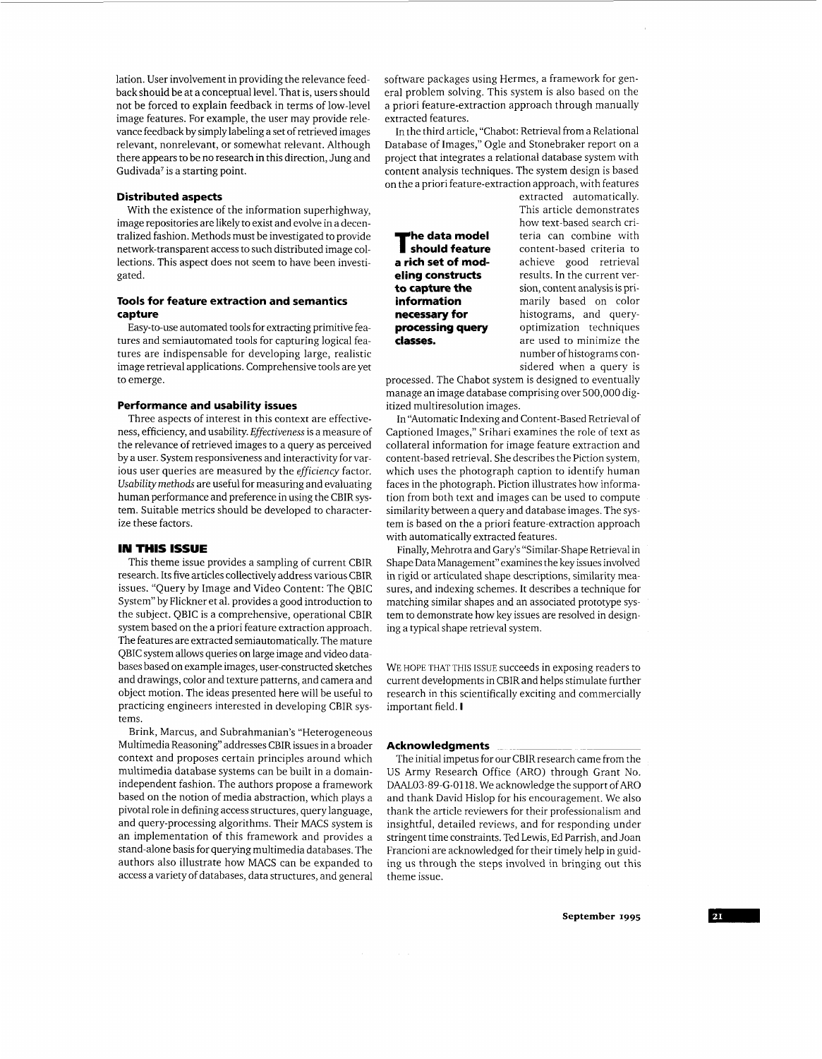lation. User involvement in providing the relevance feedback should be at a conceptual level. That is, users should not be forced to explain feedback in terms of low-level image features. For example, the user may provide relevance feedback by simply labeling a set of retrieved images relevant, nonrelevant, or somewhat relevant. Although there appears to be no research in this direction, Jung and Gudivada' is a starting point.

#### **Distributed aspects**

With the existence of the information superhighway, image repositories are likely to exist and evolve in a decentralized fashion. Methods must be investigated to provide network-transparent access to such distributed image collections. This aspect does not seem to have been investigated.

# **Tools for feature extraction and semantics capture**

Easy-to-use automated tools for extracting primitive features and semiautomated tools for capturing logical features are indispensable for developing large, realistic image retrieval applications. Comprehensive tools are yet to emerge.

### **Performance and usability issues**

Three aspects of interest in this context are effectiveness, efficiency, and usability. *Effectiveness* is a measure of the relevance of retrieved images to a query as perceived by a user. System responsiveness and interactivity for various user queries are measured by the *efficiency* factor. *Usability* methods are useful for measuring and evaluating human performance and preference in using the CBIR system. Suitable metrics should be developed to characterize these factors.

# **IN THIS ISSUE**

This theme issue provides a sampling of current CBIR research. Its five articles collectively address various CBIR issues. "Query by Image and Video Content: The QBIC System" by Flickner et al. provides a good introduction to the subject. QBIC is a comprehensive, operational CBIR system based on the a priori feature extraction approach. The features are extracted semiautomatically. The mature QBIC system allows queries on large image and video databases based on example images, user-constructed sketches and drawings, color and texture patterns, and camera and object motion. The ideas presented here will be useful to practicing engineers interested in developing CBIR systems.

Brink, Marcus, and Subrahmanian's "Heterogeneous Multimedia Reasoning" addresses CBIR issues in a broader context and proposes certain principles around which multimedia database systems can be built in a domainindependent fashion. The authors propose a framework based on the notion of media abstraction, which plays a pivotal role in defining access structures, query language, and query-processing algorithms. Their MACS system is an implementation of this framework and provides a stand-alone basis for querying multimedia databases. The authors also illustrate how MACS can be expanded to access a variety of databases, data structures, and general

software packages using Hermes, a framework for general problem solving. This system is also based on the a priori feature-extraction approach through manually extracted features.

In the third article, "Chabot: Retrieval from a Relational Database of Images," Ogle and Stonebraker report on a project that integrates a relational database system with content analysis techniques. The system design is based on the a priori feature-extraction approach, with features

extracted automatically. This article demonstrates how text-based search cri**he data model** teria can combine with **should feature** content-based criteria to **a rich set of mod-** achieve good retrieval achieve good retrieval **eling constructs** results. In the current ver**to capture the sion, content analysis is pri-**<br>**information marily** based on color **information** marily based on color **necessary for** histograms, and query**processing query** optimization techniques **classes.** are used to minimize the number of histograms considered when a query is

processed. The Chabot system is designed to eventually manage an image database comprising over 500,000 digitized multiresolution images.

In "Automatic Indexing and Content-Based Retrieval of Captioned Images," Srihari examines the role of text as collateral information for image feature extraction and content-based retrieval. She describes the Piction system, which uses the photograph caption to identify human faces in the photograph. Piction illustrates how information from both text and images can be used to compute similarity between a query and database images. The system is based on the a priori feature-extraction approach with automatically extracted features.

Finally, Mehrotra and Gary's "Similar-Shape Retrieval in Shape Data Management" examines the key issues involved in rigid or articulated shape descriptions, similarity measures, and indexing schemes. It describes a technique for matching similar shapes and an associated prototype system to demonstrate how key issues are resolved in designing a typical shape retrieval system.

WE HOPE THAT THIS ISSUE succeeds in exposing readers to current developments in CBIR and helps stimulate further research in this scientifically exciting and commercially important field. **I** 

#### **Acknowledgments** ~~ ~~~~~~ ~~~~

The initial impetus for our CBIR research came from the US Army Research Office (ARO) through Grant No. DAAL03-89-G-0118. We acknowledge the support of ARO and thank David Hislop for his encouragement. We also thank the article reviewers for their professionalism and insightful, detailed reviews, and for responding under stringent time constraints. Ted Lewis, Ed Parrish, and Joan Francioni are acknowledged for their timely help in guiding us through the steps involved in bringing out this theme issue.

**September 1995**